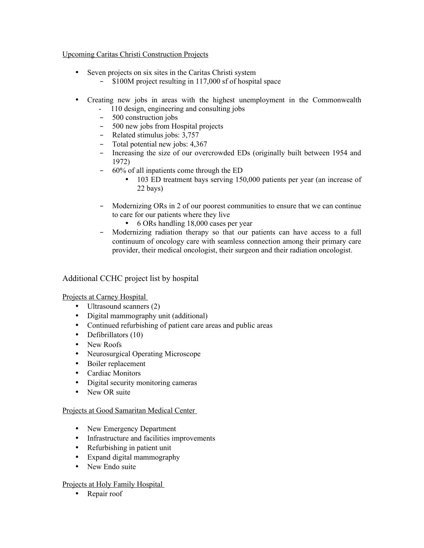#### Upcoming Caritas Christi Construction Projects

- Seven projects on six sites in the Caritas Christi system
	- \$100M project resulting in 117,000 sf of hospital space
- Creating new jobs in areas with the highest unemployment in the Commonwealth
	- 110 design, engineering and consulting jobs
	- 500 construction jobs
	- 500 new jobs from Hospital projects
	- Related stimulus jobs: 3,757
	- Total potential new jobs: 4,367
	- Increasing the size of our overcrowded EDs (originally built between 1954 and 1972)
	- 60% of all inpatients come through the ED
		- 103 ED treatment bays serving 150,000 patients per year (an increase of 22 bays)
	- Modernizing ORs in 2 of our poorest communities to ensure that we can continue to care for our patients where they live
		- 6 ORs handling 18,000 cases per year
	- Modernizing radiation therapy so that our patients can have access to a full continuum of oncology care with seamless connection among their primary care provider, their medical oncologist, their surgeon and their radiation oncologist.

# Additional CCHC project list by hospital

# Projects at Carney Hospital

- Ultrasound scanners (2)
- Digital mammography unit (additional)
- Continued refurbishing of patient care areas and public areas
- Defibrillators (10)
- New Roofs
- Neurosurgical Operating Microscope
- Boiler replacement
- Cardiac Monitors
- Digital security monitoring cameras
- New OR suite

# Projects at Good Samaritan Medical Center

- New Emergency Department
- Infrastructure and facilities improvements
- Refurbishing in patient unit
- Expand digital mammography
- New Endo suite

# Projects at Holy Family Hospital

• Repair roof